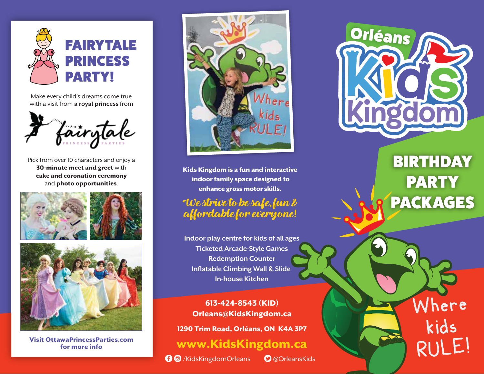

Make every child's dreams come true with a visit from **a royal princess** from



and **photo opportunities**. Pick from over 10 characters and enjoy a 30-minute meet and greet with cake and coronation ceremony





Visit OttawaPrincessParties.com for more info



Kids Kingdom is a fun and interactive indoor family space designed to enhance gross motor skills.

## We strive to be safe, fun & affordable for everyone!

**Indoor play centre for kids of all ages Ticketed Arcade-Style Games Redemption Counter Inflatable Climbing Wall & Slide In-house Kitchen**

613-424-8543 (KID) Orleans@KidsKingdom.ca

1290 Trim Road, Orléans, ON K4A 3P7

## www.KidsKingdom.ca

!\$ /KidsKingdomOrleans "@OrleansKids



## **BIRTHDAY** PARTY PACKAGES

Where Where

kids kids

RULE! RULE!